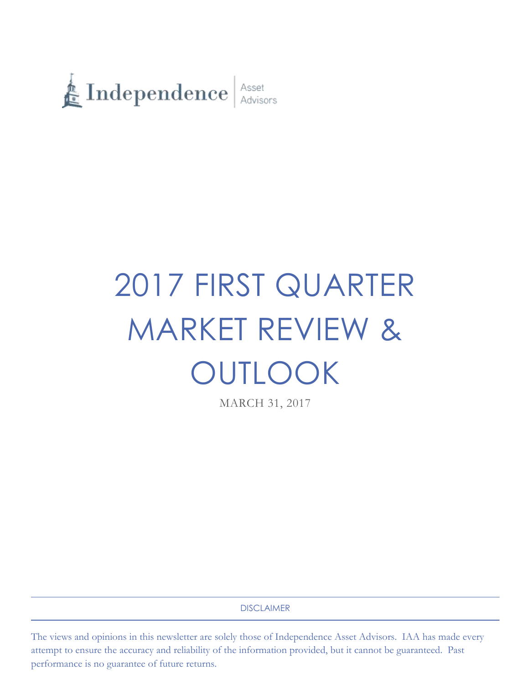

# 2017 FIRST QUARTER MARKET REVIEW & OUTLOOK

MARCH 31, 2017

DISCLAIMER

The views and opinions in this newsletter are solely those of Independence Asset Advisors. IAA has made every attempt to ensure the accuracy and reliability of the information provided, but it cannot be guaranteed. Past performance is no guarantee of future returns.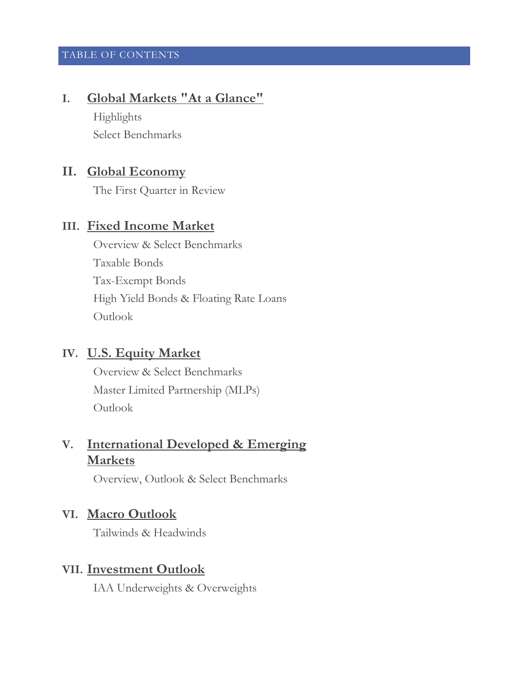## TABLE OF CONTENTS

# **I. Global Markets "At a Glance"**

Highlights Select Benchmarks

# **II. Global Economy**

The First Quarter in Review

# **III. Fixed Income Market**

Overview & Select Benchmarks Taxable Bonds Tax-Exempt Bonds High Yield Bonds & Floating Rate Loans Outlook

# **IV. U.S. Equity Market**

Overview & Select Benchmarks Master Limited Partnership (MLPs) Outlook

# **V. International Developed & Emerging Markets**

Overview, Outlook & Select Benchmarks

# **VI. Macro Outlook**

Tailwinds & Headwinds

# **VII. Investment Outlook**

IAA Underweights & Overweights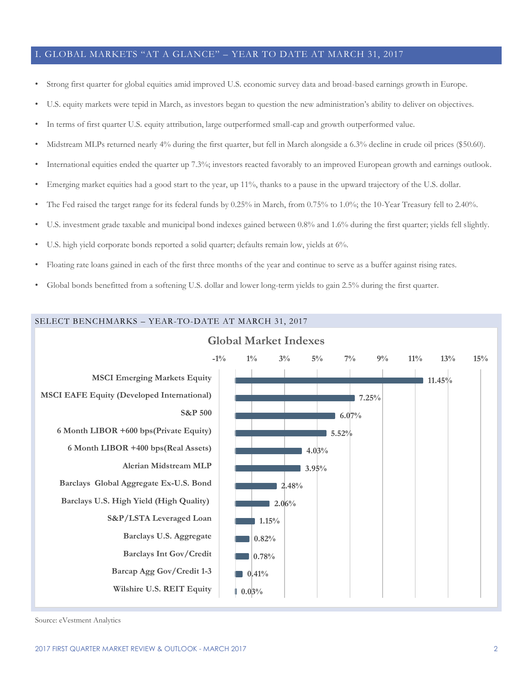#### I. GLOBAL MARKETS "AT A GLANCE" – YEAR TO DATE AT MARCH 31, 2017

- Strong first quarter for global equities amid improved U.S. economic survey data and broad-based earnings growth in Europe.
- U.S. equity markets were tepid in March, as investors began to question the new administration's ability to deliver on objectives.
- In terms of first quarter U.S. equity attribution, large outperformed small-cap and growth outperformed value.
- Midstream MLPs returned nearly 4% during the first quarter, but fell in March alongside a 6.3% decline in crude oil prices (\$50.60).
- International equities ended the quarter up 7.3%; investors reacted favorably to an improved European growth and earnings outlook.
- Emerging market equities had a good start to the year, up 11%, thanks to a pause in the upward trajectory of the U.S. dollar.
- The Fed raised the target range for its federal funds by 0.25% in March, from 0.75% to 1.0%; the 10-Year Treasury fell to 2.40%.
- U.S. investment grade taxable and municipal bond indexes gained between 0.8% and 1.6% during the first quarter; yields fell slightly.
- U.S. high yield corporate bonds reported a solid quarter; defaults remain low, yields at 6%.
- Floating rate loans gained in each of the first three months of the year and continue to serve as a buffer against rising rates.
- Global bonds benefitted from a softening U.S. dollar and lower long-term yields to gain 2.5% during the first quarter.



Source: eVestment Analytics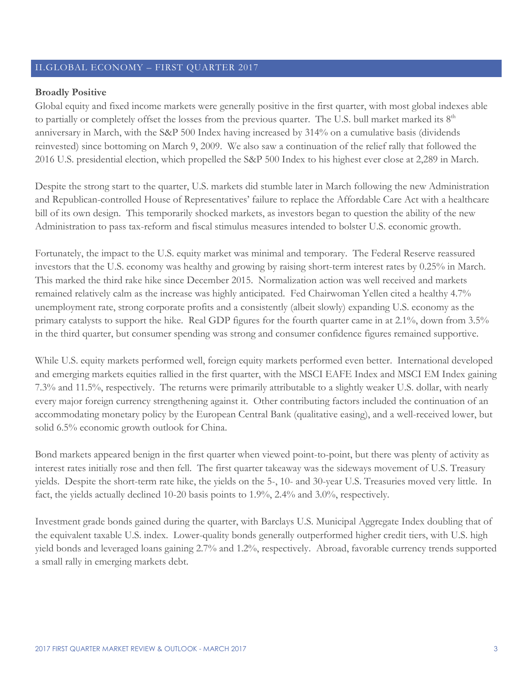#### II.GLOBAL ECONOMY – FIRST QUARTER 2017

#### **Broadly Positive**

Global equity and fixed income markets were generally positive in the first quarter, with most global indexes able to partially or completely offset the losses from the previous quarter. The U.S. bull market marked its  $8<sup>th</sup>$ anniversary in March, with the S&P 500 Index having increased by 314% on a cumulative basis (dividends reinvested) since bottoming on March 9, 2009. We also saw a continuation of the relief rally that followed the 2016 U.S. presidential election, which propelled the S&P 500 Index to his highest ever close at 2,289 in March.

Despite the strong start to the quarter, U.S. markets did stumble later in March following the new Administration and Republican-controlled House of Representatives' failure to replace the Affordable Care Act with a healthcare bill of its own design. This temporarily shocked markets, as investors began to question the ability of the new Administration to pass tax-reform and fiscal stimulus measures intended to bolster U.S. economic growth.

Fortunately, the impact to the U.S. equity market was minimal and temporary. The Federal Reserve reassured investors that the U.S. economy was healthy and growing by raising short-term interest rates by 0.25% in March. This marked the third rake hike since December 2015. Normalization action was well received and markets remained relatively calm as the increase was highly anticipated. Fed Chairwoman Yellen cited a healthy 4.7% unemployment rate, strong corporate profits and a consistently (albeit slowly) expanding U.S. economy as the primary catalysts to support the hike. Real GDP figures for the fourth quarter came in at 2.1%, down from 3.5% in the third quarter, but consumer spending was strong and consumer confidence figures remained supportive.

While U.S. equity markets performed well, foreign equity markets performed even better. International developed and emerging markets equities rallied in the first quarter, with the MSCI EAFE Index and MSCI EM Index gaining 7.3% and 11.5%, respectively. The returns were primarily attributable to a slightly weaker U.S. dollar, with nearly every major foreign currency strengthening against it. Other contributing factors included the continuation of an accommodating monetary policy by the European Central Bank (qualitative easing), and a well-received lower, but solid 6.5% economic growth outlook for China.

Bond markets appeared benign in the first quarter when viewed point-to-point, but there was plenty of activity as interest rates initially rose and then fell. The first quarter takeaway was the sideways movement of U.S. Treasury yields. Despite the short-term rate hike, the yields on the 5-, 10- and 30-year U.S. Treasuries moved very little. In fact, the yields actually declined 10-20 basis points to 1.9%, 2.4% and 3.0%, respectively.

Investment grade bonds gained during the quarter, with Barclays U.S. Municipal Aggregate Index doubling that of the equivalent taxable U.S. index. Lower-quality bonds generally outperformed higher credit tiers, with U.S. high yield bonds and leveraged loans gaining 2.7% and 1.2%, respectively. Abroad, favorable currency trends supported a small rally in emerging markets debt.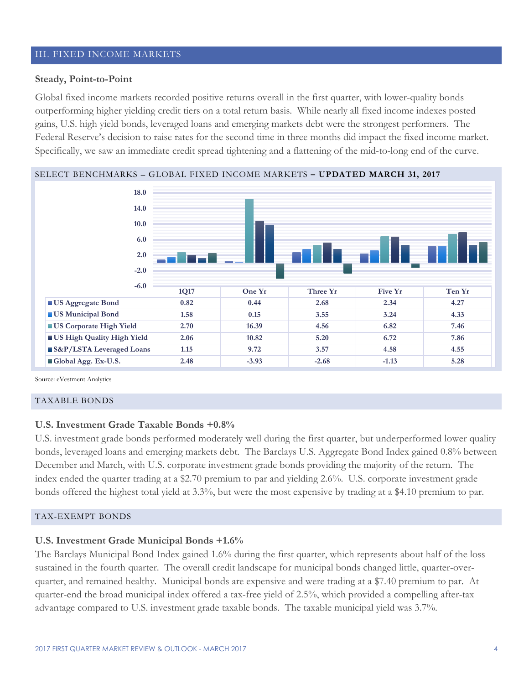#### III. FIXED INCOME MARKETS

#### **Steady, Point-to-Point**

Global fixed income markets recorded positive returns overall in the first quarter, with lower-quality bonds outperforming higher yielding credit tiers on a total return basis. While nearly all fixed income indexes posted gains, U.S. high yield bonds, leveraged loans and emerging markets debt were the strongest performers. The Federal Reserve's decision to raise rates for the second time in three months did impact the fixed income market. Specifically, we saw an immediate credit spread tightening and a flattening of the mid-to-long end of the curve.





Source: eVestment Analytics

#### TAXABLE BONDS

#### **U.S. Investment Grade Taxable Bonds +0.8%**

U.S. investment grade bonds performed moderately well during the first quarter, but underperformed lower quality bonds, leveraged loans and emerging markets debt. The Barclays U.S. Aggregate Bond Index gained 0.8% between December and March, with U.S. corporate investment grade bonds providing the majority of the return. The index ended the quarter trading at a \$2.70 premium to par and yielding 2.6%. U.S. corporate investment grade bonds offered the highest total yield at 3.3%, but were the most expensive by trading at a \$4.10 premium to par.

#### TAX-EXEMPT BONDS

#### **U.S. Investment Grade Municipal Bonds +1.6%**

The Barclays Municipal Bond Index gained 1.6% during the first quarter, which represents about half of the loss sustained in the fourth quarter. The overall credit landscape for municipal bonds changed little, quarter-overquarter, and remained healthy. Municipal bonds are expensive and were trading at a \$7.40 premium to par. At quarter-end the broad municipal index offered a tax-free yield of 2.5%, which provided a compelling after-tax advantage compared to U.S. investment grade taxable bonds. The taxable municipal yield was 3.7%.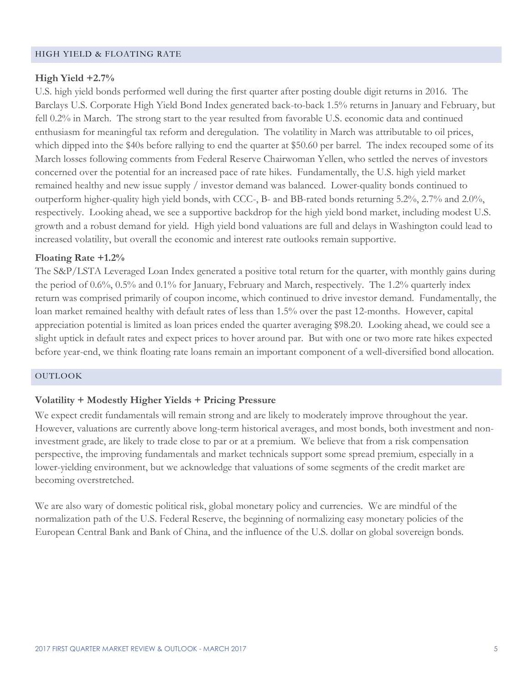#### HIGH YIELD & FLOATING RATE

#### **High Yield +2.7%**

U.S. high yield bonds performed well during the first quarter after posting double digit returns in 2016. The Barclays U.S. Corporate High Yield Bond Index generated back-to-back 1.5% returns in January and February, but fell 0.2% in March. The strong start to the year resulted from favorable U.S. economic data and continued enthusiasm for meaningful tax reform and deregulation. The volatility in March was attributable to oil prices, which dipped into the \$40s before rallying to end the quarter at \$50.60 per barrel. The index recouped some of its March losses following comments from Federal Reserve Chairwoman Yellen, who settled the nerves of investors concerned over the potential for an increased pace of rate hikes. Fundamentally, the U.S. high yield market remained healthy and new issue supply / investor demand was balanced. Lower-quality bonds continued to outperform higher-quality high yield bonds, with CCC-, B- and BB-rated bonds returning 5.2%, 2.7% and 2.0%, respectively. Looking ahead, we see a supportive backdrop for the high yield bond market, including modest U.S. growth and a robust demand for yield. High yield bond valuations are full and delays in Washington could lead to increased volatility, but overall the economic and interest rate outlooks remain supportive.

### **Floating Rate +1.2%**

The S&P/LSTA Leveraged Loan Index generated a positive total return for the quarter, with monthly gains during the period of 0.6%, 0.5% and 0.1% for January, February and March, respectively. The 1.2% quarterly index return was comprised primarily of coupon income, which continued to drive investor demand. Fundamentally, the loan market remained healthy with default rates of less than 1.5% over the past 12-months. However, capital appreciation potential is limited as loan prices ended the quarter averaging \$98.20. Looking ahead, we could see a slight uptick in default rates and expect prices to hover around par. But with one or two more rate hikes expected before year-end, we think floating rate loans remain an important component of a well-diversified bond allocation.

#### OUTLOOK

#### **Volatility + Modestly Higher Yields + Pricing Pressure**

We expect credit fundamentals will remain strong and are likely to moderately improve throughout the year. However, valuations are currently above long-term historical averages, and most bonds, both investment and noninvestment grade, are likely to trade close to par or at a premium. We believe that from a risk compensation perspective, the improving fundamentals and market technicals support some spread premium, especially in a lower-yielding environment, but we acknowledge that valuations of some segments of the credit market are becoming overstretched.

We are also wary of domestic political risk, global monetary policy and currencies. We are mindful of the normalization path of the U.S. Federal Reserve, the beginning of normalizing easy monetary policies of the European Central Bank and Bank of China, and the influence of the U.S. dollar on global sovereign bonds.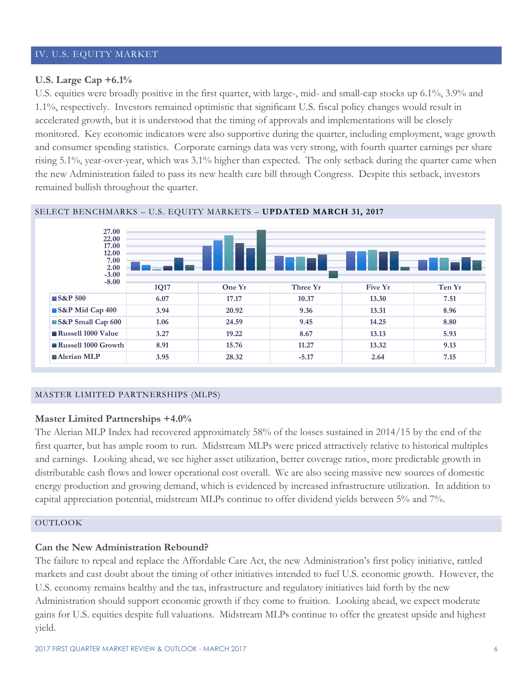#### IV. U.S. EQUITY MARKET

#### **U.S. Large Cap +6.1%**

U.S. equities were broadly positive in the first quarter, with large-, mid- and small-cap stocks up 6.1%, 3.9% and 1.1%, respectively. Investors remained optimistic that significant U.S. fiscal policy changes would result in accelerated growth, but it is understood that the timing of approvals and implementations will be closely monitored. Key economic indicators were also supportive during the quarter, including employment, wage growth and consumer spending statistics. Corporate earnings data was very strong, with fourth quarter earnings per share rising 5.1%, year-over-year, which was 3.1% higher than expected. The only setback during the quarter came when the new Administration failed to pass its new health care bill through Congress. Despite this setback, investors remained bullish throughout the quarter.



#### SELECT BENCHMARKS – U.S. EQUITY MARKETS – **UPDATED MARCH 31, 2017**

#### MASTER LIMITED PARTNERSHIPS (MLPS)

#### **Master Limited Partnerships +4.0%**

The Alerian MLP Index had recovered approximately 58% of the losses sustained in 2014/15 by the end of the first quarter, but has ample room to run. Midstream MLPs were priced attractively relative to historical multiples and earnings. Looking ahead, we see higher asset utilization, better coverage ratios, more predictable growth in distributable cash flows and lower operational cost overall. We are also seeing massive new sources of domestic energy production and growing demand, which is evidenced by increased infrastructure utilization. In addition to capital appreciation potential, midstream MLPs continue to offer dividend yields between 5% and 7%.

#### OUTLOOK

#### **Can the New Administration Rebound?**

The failure to repeal and replace the Affordable Care Act, the new Administration's first policy initiative, rattled markets and cast doubt about the timing of other initiatives intended to fuel U.S. economic growth. However, the U.S. economy remains healthy and the tax, infrastructure and regulatory initiatives laid forth by the new Administration should support economic growth if they come to fruition. Looking ahead, we expect moderate gains for U.S. equities despite full valuations. Midstream MLPs continue to offer the greatest upside and highest yield.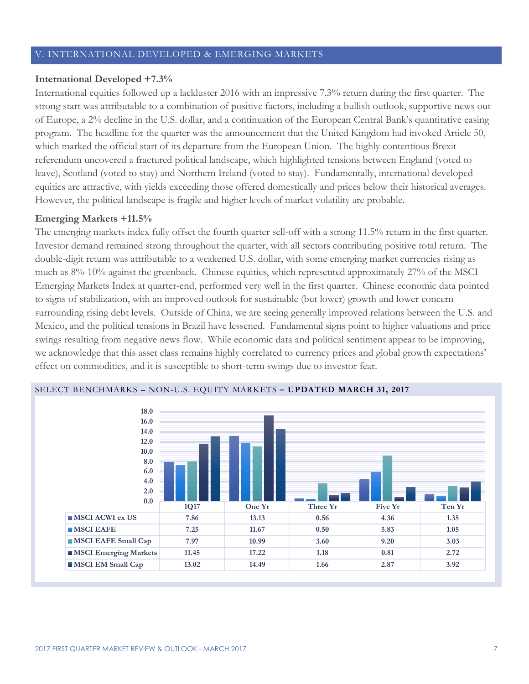#### V. INTERNATIONAL DEVELOPED & EMERGING MARKETS

#### **International Developed +7.3%**

International equities followed up a lackluster 2016 with an impressive 7.3% return during the first quarter. The strong start was attributable to a combination of positive factors, including a bullish outlook, supportive news out of Europe, a 2% decline in the U.S. dollar, and a continuation of the European Central Bank's quantitative easing program. The headline for the quarter was the announcement that the United Kingdom had invoked Article 50, which marked the official start of its departure from the European Union. The highly contentious Brexit referendum uncovered a fractured political landscape, which highlighted tensions between England (voted to leave), Scotland (voted to stay) and Northern Ireland (voted to stay). Fundamentally, international developed equities are attractive, with yields exceeding those offered domestically and prices below their historical averages. However, the political landscape is fragile and higher levels of market volatility are probable.

#### **Emerging Markets +11.5%**

The emerging markets index fully offset the fourth quarter sell-off with a strong 11.5% return in the first quarter. Investor demand remained strong throughout the quarter, with all sectors contributing positive total return. The double-digit return was attributable to a weakened U.S. dollar, with some emerging market currencies rising as much as 8%-10% against the greenback. Chinese equities, which represented approximately 27% of the MSCI Emerging Markets Index at quarter-end, performed very well in the first quarter. Chinese economic data pointed to signs of stabilization, with an improved outlook for sustainable (but lower) growth and lower concern surrounding rising debt levels. Outside of China, we are seeing generally improved relations between the U.S. and Mexico, and the political tensions in Brazil have lessened. Fundamental signs point to higher valuations and price swings resulting from negative news flow. While economic data and political sentiment appear to be improving, we acknowledge that this asset class remains highly correlated to currency prices and global growth expectations' effect on commodities, and it is susceptible to short-term swings due to investor fear.



#### SELECT BENCHMARKS – NON-U.S. EQUITY MARKETS **– UPDATED MARCH 31, 2017**